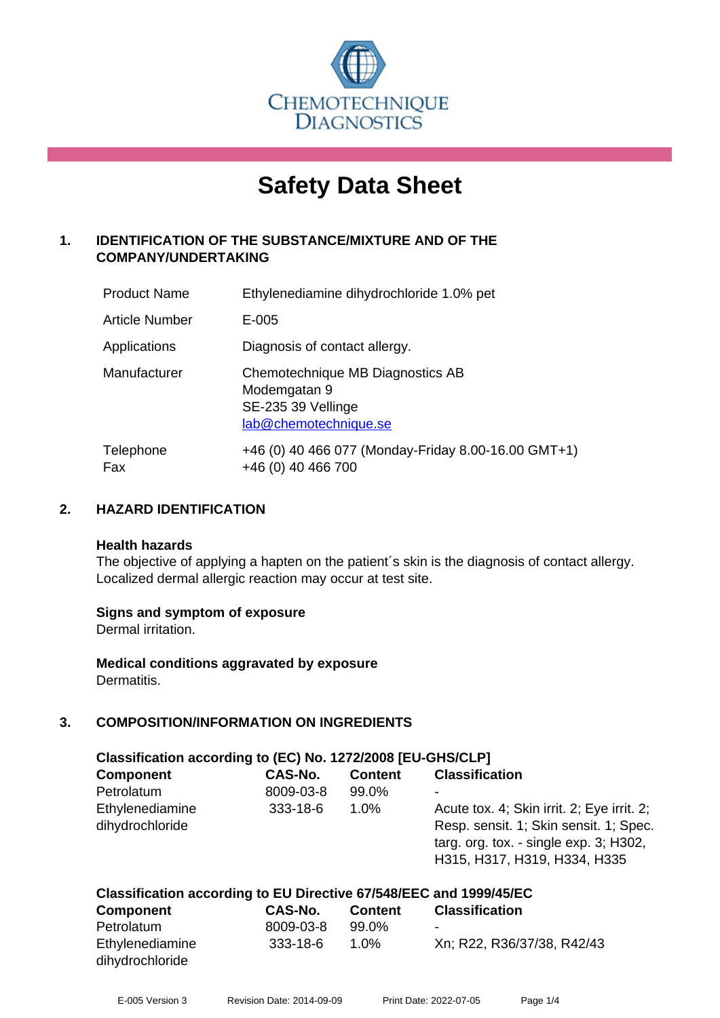

# **Safety Data Sheet**

# **1. IDENTIFICATION OF THE SUBSTANCE/MIXTURE AND OF THE COMPANY/UNDERTAKING**

| <b>Product Name</b>   | Ethylenediamine dihydrochloride 1.0% pet                                                        |
|-----------------------|-------------------------------------------------------------------------------------------------|
| <b>Article Number</b> | E-005                                                                                           |
| Applications          | Diagnosis of contact allergy.                                                                   |
| Manufacturer          | Chemotechnique MB Diagnostics AB<br>Modemgatan 9<br>SE-235 39 Vellinge<br>lab@chemotechnique.se |
| Telephone<br>Fax      | +46 (0) 40 466 077 (Monday-Friday 8.00-16.00 GMT+1)<br>+46 (0) 40 466 700                       |

# **2. HAZARD IDENTIFICATION**

#### **Health hazards**

The objective of applying a hapten on the patient's skin is the diagnosis of contact allergy. Localized dermal allergic reaction may occur at test site.

# **Signs and symptom of exposure**

Dermal irritation.

**Medical conditions aggravated by exposure** Dermatitis.

# **3. COMPOSITION/INFORMATION ON INGREDIENTS**

| Classification according to (EC) No. 1272/2008 [EU-GHS/CLP]        |                |                |                                            |  |
|--------------------------------------------------------------------|----------------|----------------|--------------------------------------------|--|
| <b>Component</b>                                                   | CAS-No.        | <b>Content</b> | <b>Classification</b>                      |  |
| Petrolatum                                                         | 8009-03-8      | 99.0%          |                                            |  |
| Ethylenediamine                                                    | $333 - 18 - 6$ | $1.0\%$        | Acute tox. 4; Skin irrit. 2; Eye irrit. 2; |  |
| dihydrochloride                                                    |                |                | Resp. sensit. 1; Skin sensit. 1; Spec.     |  |
|                                                                    |                |                | targ. org. tox. - single exp. 3; H302,     |  |
|                                                                    |                |                | H315, H317, H319, H334, H335               |  |
|                                                                    |                |                |                                            |  |
| Classification according to EU Directive 67/548/EEC and 1999/45/EC |                |                |                                            |  |

| <b>Component</b> | <b>CAS-No.</b> | <b>Content</b> | <b>Classification</b>      |  |
|------------------|----------------|----------------|----------------------------|--|
| Petrolatum       | 8009-03-8      | 99.0%          | $\overline{\phantom{0}}$   |  |
| Ethylenediamine  | 333-18-6       | 1.0%           | Xn; R22, R36/37/38, R42/43 |  |
| dihydrochloride  |                |                |                            |  |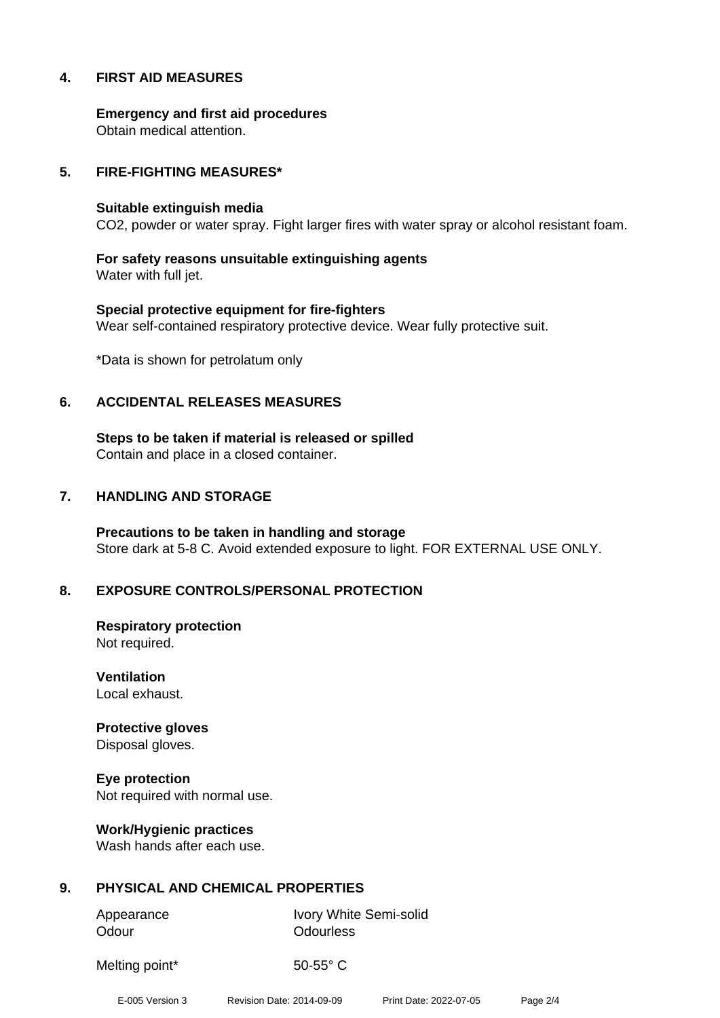# **4. FIRST AID MEASURES**

**Emergency and first aid procedures** Obtain medical attention.

#### **5. FIRE-FIGHTING MEASURES\***

#### **Suitable extinguish media**

CO2, powder or water spray. Fight larger fires with water spray or alcohol resistant foam.

**For safety reasons unsuitable extinguishing agents** Water with full jet.

**Special protective equipment for fire-fighters** Wear self-contained respiratory protective device. Wear fully protective suit.

\*Data is shown for petrolatum only

#### **6. ACCIDENTAL RELEASES MEASURES**

**Steps to be taken if material is released or spilled** Contain and place in a closed container.

#### **7. HANDLING AND STORAGE**

**Precautions to be taken in handling and storage** Store dark at 5-8 C. Avoid extended exposure to light. FOR EXTERNAL USE ONLY.

# **8. EXPOSURE CONTROLS/PERSONAL PROTECTION**

**Respiratory protection** Not required.

**Ventilation** Local exhaust.

**Protective gloves** Disposal gloves.

**Eye protection** Not required with normal use.

**Work/Hygienic practices** Wash hands after each use.

# **9. PHYSICAL AND CHEMICAL PROPERTIES**

Odour **Odourless** 

Appearance Ivory White Semi-solid

Melting point\* 50-55° C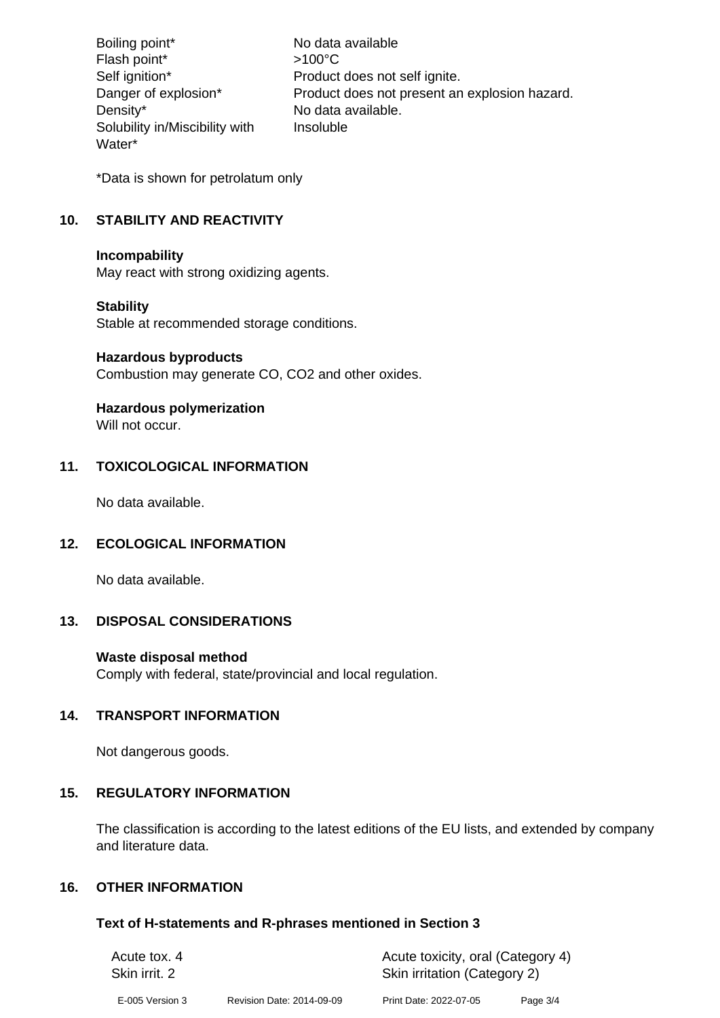Boiling point\* No data available Flash point\*  $>100^{\circ}$ C Self ignition\* Product does not self ignite. Danger of explosion\* Product does not present an explosion hazard. Density\* No data available. Solubility in/Miscibility with Water\* Insoluble

\*Data is shown for petrolatum only

# **10. STABILITY AND REACTIVITY**

#### **Incompability**

May react with strong oxidizing agents.

# **Stability**

Stable at recommended storage conditions.

#### **Hazardous byproducts**

Combustion may generate CO, CO2 and other oxides.

# **Hazardous polymerization**

Will not occur.

# **11. TOXICOLOGICAL INFORMATION**

No data available.

# **12. ECOLOGICAL INFORMATION**

No data available.

# **13. DISPOSAL CONSIDERATIONS**

# **Waste disposal method**

Comply with federal, state/provincial and local regulation.

# **14. TRANSPORT INFORMATION**

Not dangerous goods.

# **15. REGULATORY INFORMATION**

The classification is according to the latest editions of the EU lists, and extended by company and literature data.

# **16. OTHER INFORMATION**

#### **Text of H-statements and R-phrases mentioned in Section 3**

| Acute tox. 4    |                           | Acute toxicity, oral (Category 4) |          |  |
|-----------------|---------------------------|-----------------------------------|----------|--|
| Skin irrit. 2   |                           | Skin irritation (Category 2)      |          |  |
| E-005 Version 3 | Revision Date: 2014-09-09 | Print Date: 2022-07-05            | Page 3/4 |  |